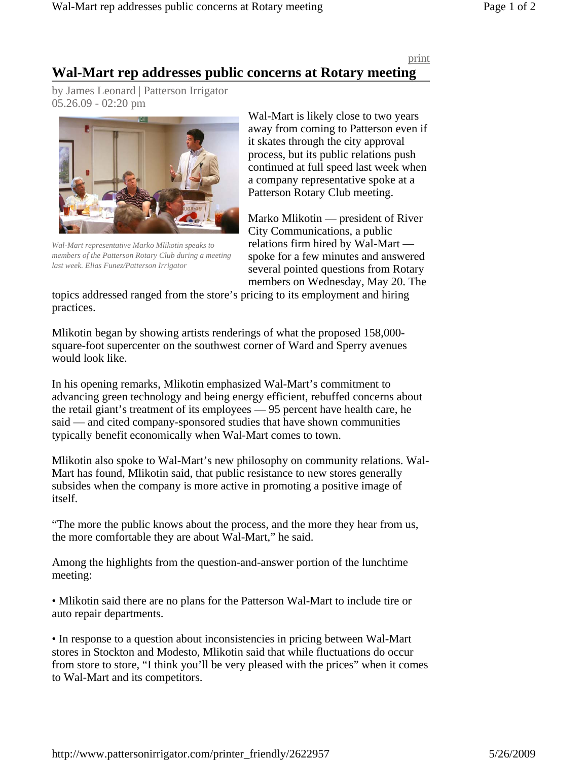## print

## **Wal-Mart rep addresses public concerns at Rotary meeting**

by James Leonard | Patterson Irrigator 05.26.09 - 02:20 pm



*Wal-Mart representative Marko Mlikotin speaks to members of the Patterson Rotary Club during a meeting last week. Elias Funez/Patterson Irrigator*

Wal-Mart is likely close to two years away from coming to Patterson even if it skates through the city approval process, but its public relations push continued at full speed last week when a company representative spoke at a Patterson Rotary Club meeting.

Marko Mlikotin — president of River City Communications, a public relations firm hired by Wal-Mart spoke for a few minutes and answered several pointed questions from Rotary members on Wednesday, May 20. The

topics addressed ranged from the store's pricing to its employment and hiring practices.

Mlikotin began by showing artists renderings of what the proposed 158,000 square-foot supercenter on the southwest corner of Ward and Sperry avenues would look like.

In his opening remarks, Mlikotin emphasized Wal-Mart's commitment to advancing green technology and being energy efficient, rebuffed concerns about the retail giant's treatment of its employees — 95 percent have health care, he said — and cited company-sponsored studies that have shown communities typically benefit economically when Wal-Mart comes to town.

Mlikotin also spoke to Wal-Mart's new philosophy on community relations. Wal-Mart has found, Mlikotin said, that public resistance to new stores generally subsides when the company is more active in promoting a positive image of itself.

"The more the public knows about the process, and the more they hear from us, the more comfortable they are about Wal-Mart," he said.

Among the highlights from the question-and-answer portion of the lunchtime meeting:

• Mlikotin said there are no plans for the Patterson Wal-Mart to include tire or auto repair departments.

• In response to a question about inconsistencies in pricing between Wal-Mart stores in Stockton and Modesto, Mlikotin said that while fluctuations do occur from store to store, "I think you'll be very pleased with the prices" when it comes to Wal-Mart and its competitors.